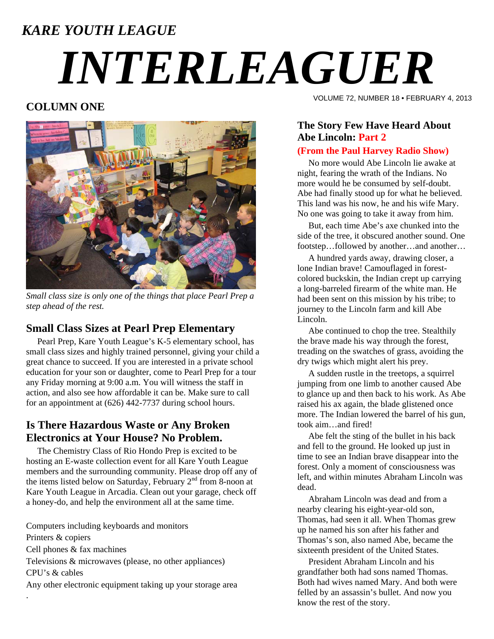# *KARE YOUTH LEAGUE INTERLEAGUER*

### **COLUMN ONE**



*Small class size is only one of the things that place Pearl Prep a step ahead of the rest.* 

#### **Small Class Sizes at Pearl Prep Elementary**

 Pearl Prep, Kare Youth League's K-5 elementary school, has small class sizes and highly trained personnel, giving your child a great chance to succeed. If you are interested in a private school education for your son or daughter, come to Pearl Prep for a tour any Friday morning at 9:00 a.m. You will witness the staff in action, and also see how affordable it can be. Make sure to call for an appointment at (626) 442-7737 during school hours.

#### **Is There Hazardous Waste or Any Broken Electronics at Your House? No Problem.**

 The Chemistry Class of Rio Hondo Prep is excited to be hosting an E-waste collection event for all Kare Youth League members and the surrounding community. Please drop off any of the items listed below on Saturday, February  $2<sup>nd</sup>$  from 8-noon at Kare Youth League in Arcadia. Clean out your garage, check off a honey-do, and help the environment all at the same time.

Computers including keyboards and monitors Printers & copiers Cell phones & fax machines Televisions & microwaves (please, no other appliances) CPU's & cables Any other electronic equipment taking up your storage area .

VOLUME 72, NUMBER 18 • FEBRUARY 4, 2013

## **The Story Few Have Heard About Abe Lincoln: Part 2**

#### **(From the Paul Harvey Radio Show)**

 No more would Abe Lincoln lie awake at night, fearing the wrath of the Indians. No more would he be consumed by self-doubt. Abe had finally stood up for what he believed. This land was his now, he and his wife Mary. No one was going to take it away from him.

 But, each time Abe's axe chunked into the side of the tree, it obscured another sound. One footstep...followed by another...and another...

 A hundred yards away, drawing closer, a lone Indian brave! Camouflaged in forestcolored buckskin, the Indian crept up carrying a long-barreled firearm of the white man. He had been sent on this mission by his tribe; to journey to the Lincoln farm and kill Abe Lincoln.

 Abe continued to chop the tree. Stealthily the brave made his way through the forest, treading on the swatches of grass, avoiding the dry twigs which might alert his prey.

 A sudden rustle in the treetops, a squirrel jumping from one limb to another caused Abe to glance up and then back to his work. As Abe raised his ax again, the blade glistened once more. The Indian lowered the barrel of his gun, took aim…and fired!

 Abe felt the sting of the bullet in his back and fell to the ground. He looked up just in time to see an Indian brave disappear into the forest. Only a moment of consciousness was left, and within minutes Abraham Lincoln was dead.

 Abraham Lincoln was dead and from a nearby clearing his eight-year-old son, Thomas, had seen it all. When Thomas grew up he named his son after his father and Thomas's son, also named Abe, became the sixteenth president of the United States.

 President Abraham Lincoln and his grandfather both had sons named Thomas. Both had wives named Mary. And both were felled by an assassin's bullet. And now you know the rest of the story.